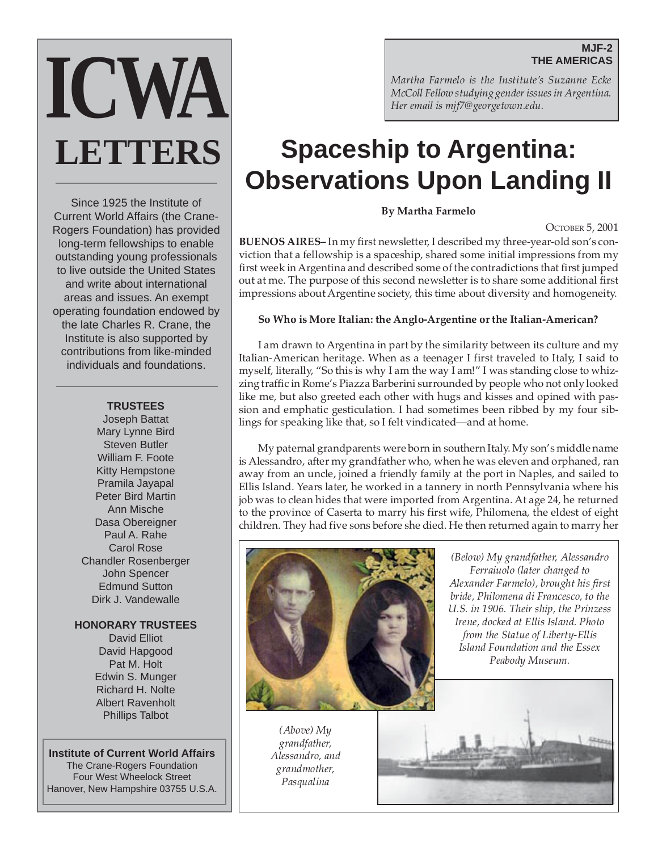#### **MJF-2 THE AMERICAS**



Since 1925 the Institute of Current World Affairs (the Crane-Rogers Foundation) has provided long-term fellowships to enable outstanding young professionals to live outside the United States and write about international areas and issues. An exempt operating foundation endowed by the late Charles R. Crane, the Institute is also supported by contributions from like-minded individuals and foundations.

#### **TRUSTEES**

Joseph Battat Mary Lynne Bird Steven Butler William F. Foote Kitty Hempstone Pramila Jayapal Peter Bird Martin Ann Mische Dasa Obereigner Paul A. Rahe Carol Rose Chandler Rosenberger John Spencer Edmund Sutton Dirk J. Vandewalle

#### **HONORARY TRUSTEES**

David Elliot David Hapgood Pat M. Holt Edwin S. Munger Richard H. Nolte Albert Ravenholt Phillips Talbot

**Institute of Current World Affairs** The Crane-Rogers Foundation Four West Wheelock Street Hanover, New Hampshire 03755 U.S.A. *Martha Farmelo is the Institute's Suzanne Ecke McColl Fellow studying gender issues in Argentina. Her email is mjf7@georgetown.edu.*

# **Spaceship to Argentina: Observations Upon Landing II**

**By Martha Farmelo**

#### OCTOBER 5, 2001

**BUENOS AIRES–** In my first newsletter, I described my three-year-old son's conviction that a fellowship is a spaceship, shared some initial impressions from my first week in Argentina and described some of the contradictions that first jumped out at me. The purpose of this second newsletter is to share some additional first impressions about Argentine society, this time about diversity and homogeneity.

#### **So Who is More Italian: the Anglo-Argentine or the Italian-American?**

I am drawn to Argentina in part by the similarity between its culture and my Italian-American heritage. When as a teenager I first traveled to Italy, I said to myself, literally, "So this is why I am the way I am!" I was standing close to whizzing traffic in Rome's Piazza Barberini surrounded by people who not only looked like me, but also greeted each other with hugs and kisses and opined with passion and emphatic gesticulation. I had sometimes been ribbed by my four siblings for speaking like that, so I felt vindicated—and at home.

My paternal grandparents were born in southern Italy. My son's middle name is Alessandro, after my grandfather who, when he was eleven and orphaned, ran away from an uncle, joined a friendly family at the port in Naples, and sailed to Ellis Island. Years later, he worked in a tannery in north Pennsylvania where his job was to clean hides that were imported from Argentina. At age 24, he returned to the province of Caserta to marry his first wife, Philomena, the eldest of eight children. They had five sons before she died. He then returned again to marry her



*(Below) My grandfather, Alessandro Ferraiuolo (later changed to Alexander Farmelo), brought his first bride, Philomena di Francesco, to the U.S. in 1906. Their ship, the Prinzess Irene, docked at Ellis Island. Photo from the Statue of Liberty-Ellis Island Foundation and the Essex Peabody Museum.*

*(Above) My grandfather, Alessandro, and grandmother, Pasqualina*

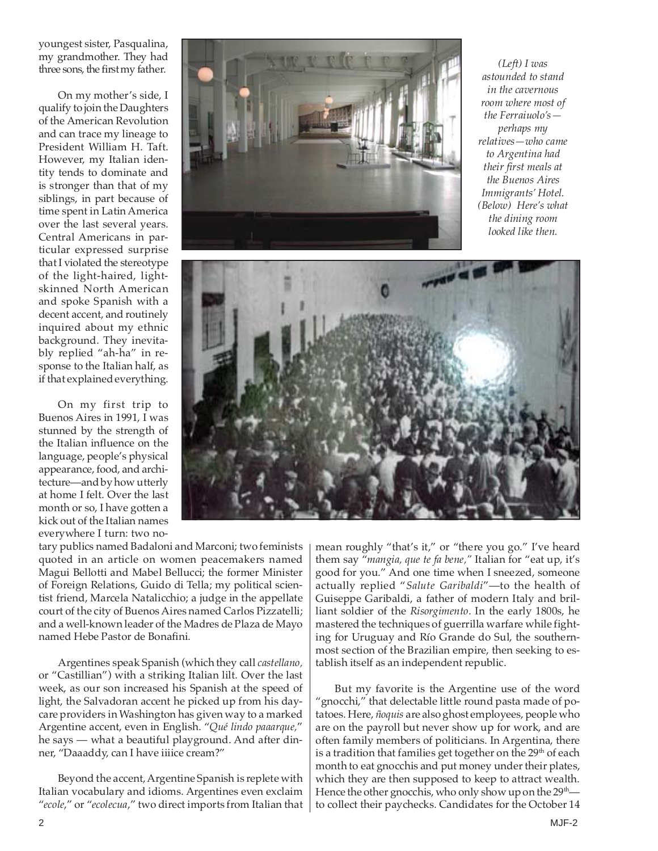youngest sister, Pasqualina, my grandmother. They had three sons, the first my father.

On my mother's side, I qualify to join the Daughters of the American Revolution and can trace my lineage to President William H. Taft. However, my Italian identity tends to dominate and is stronger than that of my siblings, in part because of time spent in Latin America over the last several years. Central Americans in particular expressed surprise that I violated the stereotype of the light-haired, lightskinned North American and spoke Spanish with a decent accent, and routinely inquired about my ethnic background. They inevitably replied "ah-ha" in response to the Italian half, as if that explained everything.

On my first trip to Buenos Aires in 1991, I was stunned by the strength of the Italian influence on the language, people's physical appearance, food, and architecture—and by how utterly at home I felt. Over the last month or so, I have gotten a kick out of the Italian names everywhere I turn: two no-



*(Left) I was astounded to stand in the cavernous room where most of the Ferraiuolo's perhaps my relatives—who came to Argentina had their first meals at the Buenos Aires Immigrants' Hotel. (Below) Here's what the dining room looked like then.*



tary publics named Badaloni and Marconi; two feminists quoted in an article on women peacemakers named Magui Bellotti and Mabel Bellucci; the former Minister of Foreign Relations, Guido di Tella; my political scientist friend, Marcela Natalicchio; a judge in the appellate court of the city of Buenos Aires named Carlos Pizzatelli; and a well-known leader of the Madres de Plaza de Mayo named Hebe Pastor de Bonafini.

Argentines speak Spanish (which they call *castellano,* or "Castillian") with a striking Italian lilt. Over the last week, as our son increased his Spanish at the speed of light, the Salvadoran accent he picked up from his daycare providers in Washington has given way to a marked Argentine accent, even in English. "*Qué lindo paaarque,*" he says — what a beautiful playground. And after dinner, "Daaaddy, can I have iiiice cream?"

Beyond the accent, Argentine Spanish is replete with Italian vocabulary and idioms. Argentines even exclaim "*ecole*," or "*ecolecua*," two direct imports from Italian that

mean roughly "that's it," or "there you go." I've heard them say "*mangia, que te fa bene,"* Italian for "eat up, it's good for you." And one time when I sneezed, someone actually replied "*Salute Garibaldi*"—to the health of Guiseppe Garibaldi, a father of modern Italy and brilliant soldier of the *Risorgimento*. In the early 1800s, he mastered the techniques of guerrilla warfare while fighting for Uruguay and Río Grande do Sul, the southernmost section of the Brazilian empire, then seeking to establish itself as an independent republic.

But my favorite is the Argentine use of the word "gnocchi," that delectable little round pasta made of potatoes. Here, *ñoquis* are also ghost employees, people who are on the payroll but never show up for work, and are often family members of politicians. In Argentina, there is a tradition that families get together on the  $29<sup>th</sup>$  of each month to eat gnocchis and put money under their plates, which they are then supposed to keep to attract wealth. Hence the other gnocchis, who only show up on the 29<sup>th</sup> to collect their paychecks. Candidates for the October 14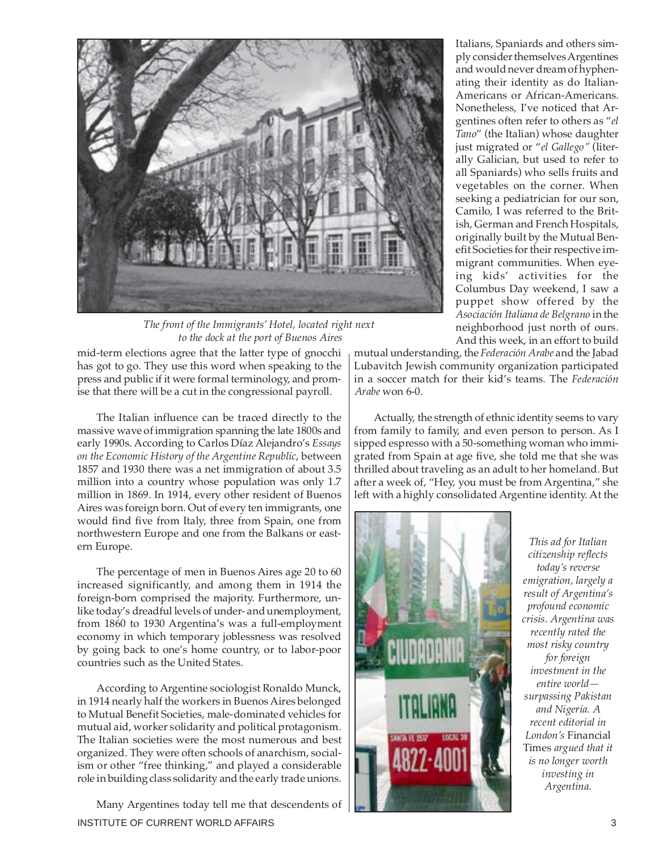

*The front of the Immigrants' Hotel, located right next to the dock at the port of Buenos Aires*

mid-term elections agree that the latter type of gnocchi has got to go. They use this word when speaking to the press and public if it were formal terminology, and promise that there will be a cut in the congressional payroll.

The Italian influence can be traced directly to the massive wave of immigration spanning the late 1800s and early 1990s. According to Carlos Díaz Alejandro's *Essays on the Economic History of the Argentine Republic*, between 1857 and 1930 there was a net immigration of about 3.5 million into a country whose population was only 1.7 million in 1869. In 1914, every other resident of Buenos Aires was foreign born. Out of every ten immigrants, one would find five from Italy, three from Spain, one from northwestern Europe and one from the Balkans or eastern Europe.

The percentage of men in Buenos Aires age 20 to 60 increased significantly, and among them in 1914 the foreign-born comprised the majority. Furthermore, unlike today's dreadful levels of under- and unemployment, from 1860 to 1930 Argentina's was a full-employment economy in which temporary joblessness was resolved by going back to one's home country, or to labor-poor countries such as the United States.

According to Argentine sociologist Ronaldo Munck, in 1914 nearly half the workers in Buenos Aires belonged to Mutual Benefit Societies, male-dominated vehicles for mutual aid, worker solidarity and political protagonism. The Italian societies were the most numerous and best organized. They were often schools of anarchism, socialism or other "free thinking," and played a considerable role in building class solidarity and the early trade unions.

INSTITUTE OF CURRENT WORLD AFFAIRS 3 Many Argentines today tell me that descendents of

Italians, Spaniards and others simply consider themselves Argentines and would never dream of hyphenating their identity as do Italian-Americans or African-Americans. Nonetheless, I've noticed that Argentines often refer to others as "*el Tano*" (the Italian) whose daughter just migrated or "*el Gallego"* (literally Galician, but used to refer to all Spaniards) who sells fruits and vegetables on the corner. When seeking a pediatrician for our son, Camilo, I was referred to the British, German and French Hospitals, originally built by the Mutual Benefit Societies for their respective immigrant communities. When eyeing kids' activities for the Columbus Day weekend, I saw a puppet show offered by the *Asociación Italiana de Belgrano* in the neighborhood just north of ours. And this week, in an effort to build

mutual understanding, the *Federación Arabe* and the Jabad Lubavitch Jewish community organization participated in a soccer match for their kid's teams. The *Federación Arabe* won 6-0.

Actually, the strength of ethnic identity seems to vary from family to family, and even person to person. As I sipped espresso with a 50-something woman who immigrated from Spain at age five, she told me that she was thrilled about traveling as an adult to her homeland. But after a week of, "Hey, you must be from Argentina," she left with a highly consolidated Argentine identity. At the



*This ad for Italian citizenship reflects today's reverse emigration, largely a result of Argentina's profound economic crisis. Argentina was recently rated the most risky country for foreign investment in the entire world surpassing Pakistan and Nigeria. A recent editorial in London's* Financial Times *argued that it is no longer worth investing in Argentina.*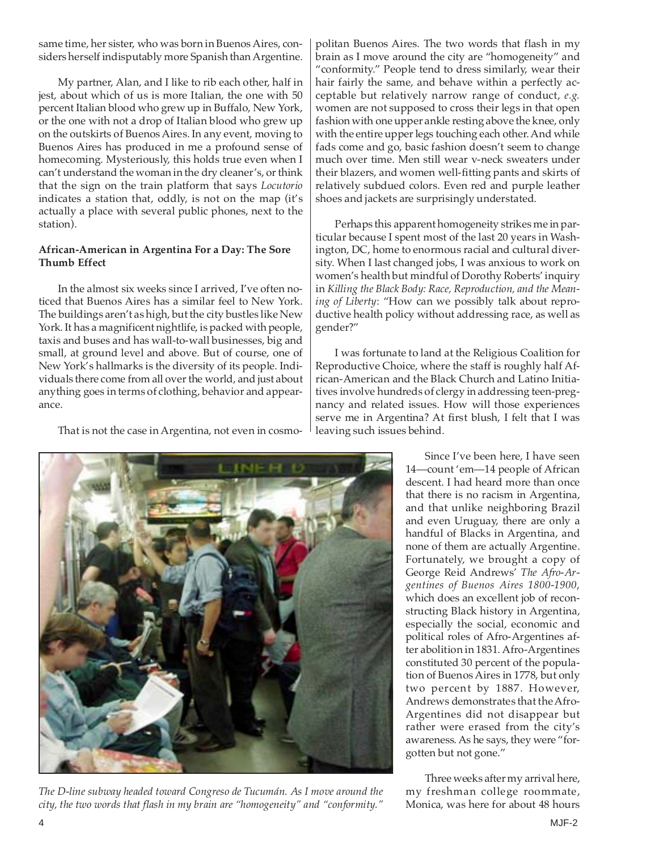same time, her sister, who was born in Buenos Aires, considers herself indisputably more Spanish than Argentine.

My partner, Alan, and I like to rib each other, half in jest, about which of us is more Italian, the one with 50 percent Italian blood who grew up in Buffalo, New York, or the one with not a drop of Italian blood who grew up on the outskirts of Buenos Aires. In any event, moving to Buenos Aires has produced in me a profound sense of homecoming. Mysteriously, this holds true even when I can't understand the woman in the dry cleaner's, or think that the sign on the train platform that says *Locutorio* indicates a station that, oddly, is not on the map (it's actually a place with several public phones, next to the station).

#### **African-American in Argentina For a Day: The Sore Thumb Effect**

In the almost six weeks since I arrived, I've often noticed that Buenos Aires has a similar feel to New York. The buildings aren't as high, but the city bustles like New York. It has a magnificent nightlife, is packed with people, taxis and buses and has wall-to-wall businesses, big and small, at ground level and above. But of course, one of New York's hallmarks is the diversity of its people. Individuals there come from all over the world, and just about anything goes in terms of clothing, behavior and appearance.

That is not the case in Argentina, not even in cosmo-

politan Buenos Aires. The two words that flash in my brain as I move around the city are "homogeneity" and "conformity." People tend to dress similarly, wear their hair fairly the same, and behave within a perfectly acceptable but relatively narrow range of conduct, *e.g.* women are not supposed to cross their legs in that open fashion with one upper ankle resting above the knee, only with the entire upper legs touching each other. And while fads come and go, basic fashion doesn't seem to change much over time. Men still wear v-neck sweaters under their blazers, and women well-fitting pants and skirts of relatively subdued colors. Even red and purple leather shoes and jackets are surprisingly understated.

Perhaps this apparent homogeneity strikes me in particular because I spent most of the last 20 years in Washington, DC, home to enormous racial and cultural diversity. When I last changed jobs, I was anxious to work on women's health but mindful of Dorothy Roberts' inquiry in *Killing the Black Body: Race, Reproduction, and the Meaning of Liberty*: "How can we possibly talk about reproductive health policy without addressing race, as well as gender?"

I was fortunate to land at the Religious Coalition for Reproductive Choice, where the staff is roughly half African-American and the Black Church and Latino Initiatives involve hundreds of clergy in addressing teen-pregnancy and related issues. How will those experiences serve me in Argentina? At first blush, I felt that I was leaving such issues behind.



Three weeks after my arrival here, my freshman college roommate, Monica, was here for about 48 hours



*The D-line subway headed toward Congreso de Tucumán. As I move around the city, the two words that flash in my brain are "homogeneity" and "conformity."*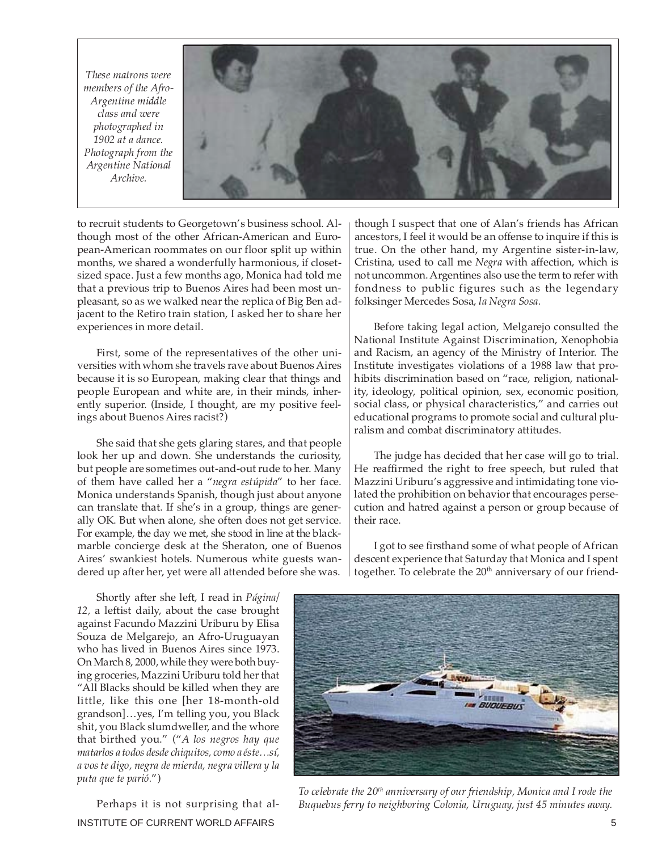*These matrons were members of the Afro-Argentine middle class and were photographed in 1902 at a dance. Photograph from the Argentine National Archive.*



to recruit students to Georgetown's business school. Although most of the other African-American and European-American roommates on our floor split up within months, we shared a wonderfully harmonious, if closetsized space. Just a few months ago, Monica had told me that a previous trip to Buenos Aires had been most unpleasant, so as we walked near the replica of Big Ben adjacent to the Retiro train station, I asked her to share her experiences in more detail.

First, some of the representatives of the other universities with whom she travels rave about Buenos Aires because it is so European, making clear that things and people European and white are, in their minds, inherently superior. (Inside, I thought, are my positive feelings about Buenos Aires racist?)

She said that she gets glaring stares, and that people look her up and down. She understands the curiosity, but people are sometimes out-and-out rude to her. Many of them have called her a "*negra estúpida*" to her face. Monica understands Spanish, though just about anyone can translate that. If she's in a group, things are generally OK. But when alone, she often does not get service. For example, the day we met, she stood in line at the blackmarble concierge desk at the Sheraton, one of Buenos Aires' swankiest hotels. Numerous white guests wandered up after her, yet were all attended before she was.

though I suspect that one of Alan's friends has African ancestors, I feel it would be an offense to inquire if this is true. On the other hand, my Argentine sister-in-law, Cristina, used to call me *Negra* with affection, which is not uncommon. Argentines also use the term to refer with fondness to public figures such as the legendary folksinger Mercedes Sosa, *la Negra Sosa.*

Before taking legal action, Melgarejo consulted the National Institute Against Discrimination, Xenophobia and Racism, an agency of the Ministry of Interior. The Institute investigates violations of a 1988 law that prohibits discrimination based on "race, religion, nationality, ideology, political opinion, sex, economic position, social class, or physical characteristics," and carries out educational programs to promote social and cultural pluralism and combat discriminatory attitudes.

The judge has decided that her case will go to trial. He reaffirmed the right to free speech, but ruled that Mazzini Uriburu's aggressive and intimidating tone violated the prohibition on behavior that encourages persecution and hatred against a person or group because of their race.

I got to see firsthand some of what people of African descent experience that Saturday that Monica and I spent together. To celebrate the  $20<sup>th</sup>$  anniversary of our friend-

Shortly after she left, I read in *Página/ 12,* a leftist daily, about the case brought against Facundo Mazzini Uriburu by Elisa Souza de Melgarejo, an Afro-Uruguayan who has lived in Buenos Aires since 1973. On March 8, 2000, while they were both buying groceries, Mazzini Uriburu told her that "All Blacks should be killed when they are little, like this one [her 18-month-old grandson]…yes, I'm telling you, you Black shit, you Black slumdweller, and the whore that birthed you." ("*A los negros hay que matarlos a todos desde chiquitos, como a éste…sí, a vos te digo, negra de mierda, negra villera y la puta que te parió.*")

INSTITUTE OF CURRENT WORLD AFFAIRS **FOULD ASSESSED ASSAULT** STOLEN ASSESSED. Perhaps it is not surprising that al-



*To celebrate the 20th anniversary of our friendship, Monica and I rode the Buquebus ferry to neighboring Colonia, Uruguay, just 45 minutes away.*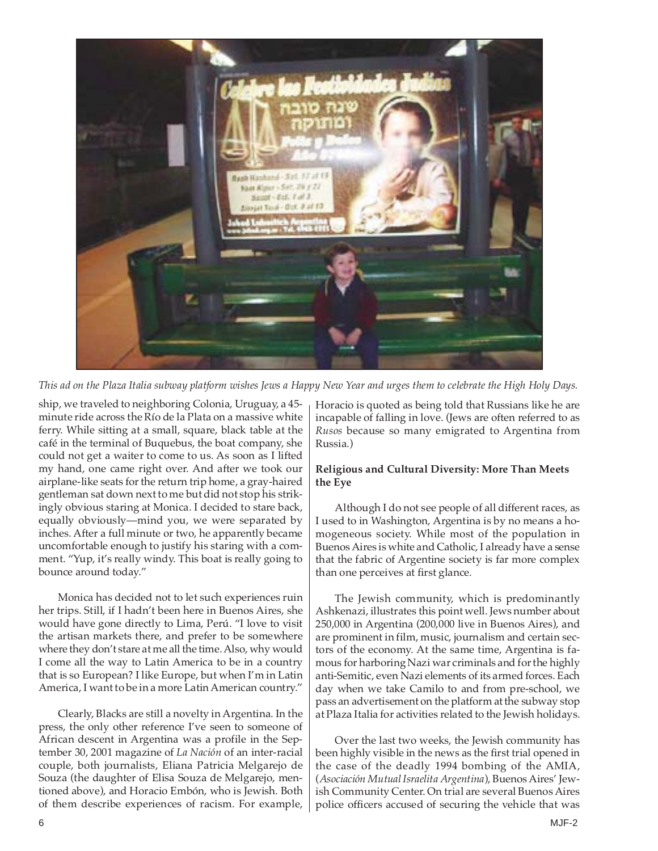

*This ad on the Plaza Italia subway platform wishes Jews a Happy New Year and urges them to celebrate the High Holy Days.*

ship, we traveled to neighboring Colonia, Uruguay, a 45 minute ride across the Río de la Plata on a massive white ferry. While sitting at a small, square, black table at the café in the terminal of Buquebus, the boat company, she could not get a waiter to come to us. As soon as I lifted my hand, one came right over. And after we took our airplane-like seats for the return trip home, a gray-haired gentleman sat down next to me but did not stop his strikingly obvious staring at Monica. I decided to stare back, equally obviously—mind you, we were separated by inches. After a full minute or two, he apparently became uncomfortable enough to justify his staring with a comment. "Yup, it's really windy. This boat is really going to bounce around today."

Monica has decided not to let such experiences ruin her trips. Still, if I hadn't been here in Buenos Aires, she would have gone directly to Lima, Perú. "I love to visit the artisan markets there, and prefer to be somewhere where they don't stare at me all the time. Also, why would I come all the way to Latin America to be in a country that is so European? I like Europe, but when I'm in Latin America, I want to be in a more Latin American country."

Clearly, Blacks are still a novelty in Argentina. In the press, the only other reference I've seen to someone of African descent in Argentina was a profile in the September 30, 2001 magazine of *La Nación* of an inter-racial couple, both journalists, Eliana Patricia Melgarejo de Souza (the daughter of Elisa Souza de Melgarejo, mentioned above), and Horacio Embón, who is Jewish. Both of them describe experiences of racism. For example, Horacio is quoted as being told that Russians like he are incapable of falling in love. (Jews are often referred to as *Rusos* because so many emigrated to Argentina from Russia.)

### **Religious and Cultural Diversity: More Than Meets the Eye**

Although I do not see people of all different races, as I used to in Washington, Argentina is by no means a homogeneous society. While most of the population in Buenos Aires is white and Catholic, I already have a sense that the fabric of Argentine society is far more complex than one perceives at first glance.

The Jewish community, which is predominantly Ashkenazi, illustrates this point well. Jews number about 250,000 in Argentina (200,000 live in Buenos Aires), and are prominent in film, music, journalism and certain sectors of the economy. At the same time, Argentina is famous for harboring Nazi war criminals and for the highly anti-Semitic, even Nazi elements of its armed forces. Each day when we take Camilo to and from pre-school, we pass an advertisement on the platform at the subway stop at Plaza Italia for activities related to the Jewish holidays.

Over the last two weeks, the Jewish community has been highly visible in the news as the first trial opened in the case of the deadly 1994 bombing of the AMIA, (*Asociación Mutual Israelita Argentina*), Buenos Aires' Jewish Community Center. On trial are several Buenos Aires police officers accused of securing the vehicle that was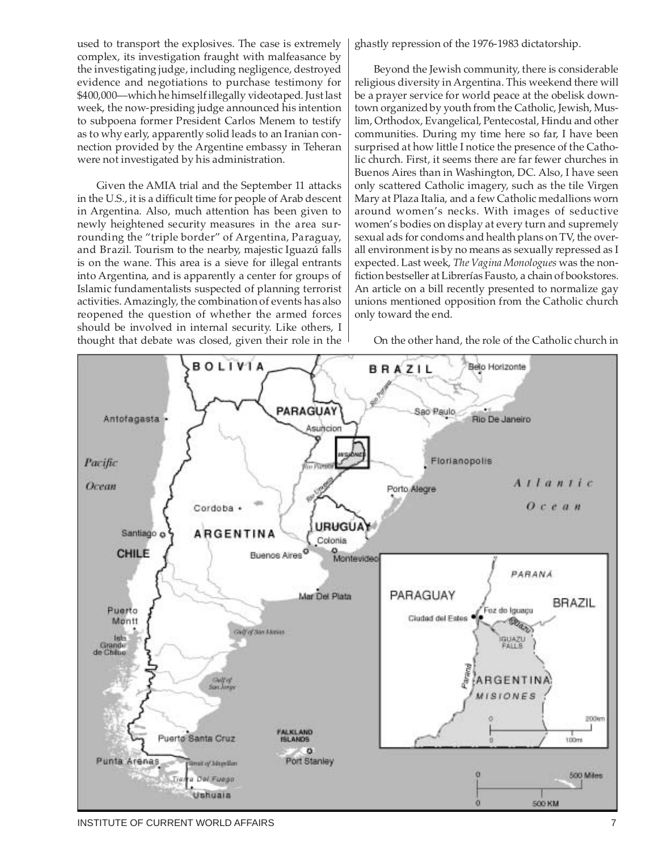used to transport the explosives. The case is extremely complex, its investigation fraught with malfeasance by the investigating judge, including negligence, destroyed evidence and negotiations to purchase testimony for \$400,000—which he himself illegally videotaped. Just last week, the now-presiding judge announced his intention to subpoena former President Carlos Menem to testify as to why early, apparently solid leads to an Iranian connection provided by the Argentine embassy in Teheran were not investigated by his administration.

Given the AMIA trial and the September 11 attacks in the U.S., it is a difficult time for people of Arab descent in Argentina. Also, much attention has been given to newly heightened security measures in the area surrounding the "triple border" of Argentina, Paraguay, and Brazil. Tourism to the nearby, majestic Iguazú falls is on the wane. This area is a sieve for illegal entrants into Argentina, and is apparently a center for groups of Islamic fundamentalists suspected of planning terrorist activities. Amazingly, the combination of events has also reopened the question of whether the armed forces should be involved in internal security. Like others, I thought that debate was closed, given their role in the ghastly repression of the 1976-1983 dictatorship.

Beyond the Jewish community, there is considerable religious diversity in Argentina. This weekend there will be a prayer service for world peace at the obelisk downtown organized by youth from the Catholic, Jewish, Muslim, Orthodox, Evangelical, Pentecostal, Hindu and other communities. During my time here so far, I have been surprised at how little I notice the presence of the Catholic church. First, it seems there are far fewer churches in Buenos Aires than in Washington, DC. Also, I have seen only scattered Catholic imagery, such as the tile Virgen Mary at Plaza Italia, and a few Catholic medallions worn around women's necks. With images of seductive women's bodies on display at every turn and supremely sexual ads for condoms and health plans on TV, the overall environment is by no means as sexually repressed as I expected. Last week, *The Vagina Monologues* was the nonfiction bestseller at Librerías Fausto, a chain of bookstores. An article on a bill recently presented to normalize gay unions mentioned opposition from the Catholic church only toward the end.

On the other hand, the role of the Catholic church in



INSTITUTE OF CURRENT WORLD AFFAIRS **7** And the state of the state of the state of the state of the state of the state of the state of the state of the state of the state of the state of the state of the state of the state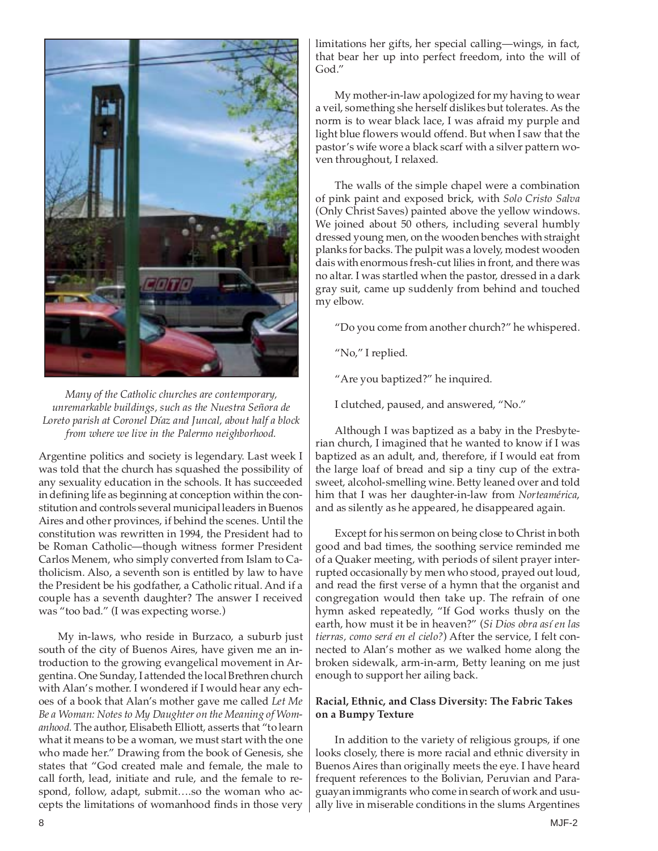

*Many of the Catholic churches are contemporary, unremarkable buildings, such as the Nuestra Señora de Loreto parish at Coronel Díaz and Juncal, about half a block from where we live in the Palermo neighborhood.*

Argentine politics and society is legendary. Last week I was told that the church has squashed the possibility of any sexuality education in the schools. It has succeeded in defining life as beginning at conception within the constitution and controls several municipal leaders in Buenos Aires and other provinces, if behind the scenes. Until the constitution was rewritten in 1994, the President had to be Roman Catholic—though witness former President Carlos Menem, who simply converted from Islam to Catholicism. Also, a seventh son is entitled by law to have the President be his godfather, a Catholic ritual. And if a couple has a seventh daughter? The answer I received was "too bad." (I was expecting worse.)

My in-laws, who reside in Burzaco, a suburb just south of the city of Buenos Aires, have given me an introduction to the growing evangelical movement in Argentina. One Sunday, I attended the local Brethren church with Alan's mother. I wondered if I would hear any echoes of a book that Alan's mother gave me called *Let Me Be a Woman: Notes to My Daughter on the Meaning of Womanhood.* The author, Elisabeth Elliott, asserts that "to learn what it means to be a woman, we must start with the one who made her." Drawing from the book of Genesis, she states that "God created male and female, the male to call forth, lead, initiate and rule, and the female to respond, follow, adapt, submit….so the woman who accepts the limitations of womanhood finds in those very

limitations her gifts, her special calling—wings, in fact, that bear her up into perfect freedom, into the will of God."

My mother-in-law apologized for my having to wear a veil, something she herself dislikes but tolerates. As the norm is to wear black lace, I was afraid my purple and light blue flowers would offend. But when I saw that the pastor's wife wore a black scarf with a silver pattern woven throughout, I relaxed.

The walls of the simple chapel were a combination of pink paint and exposed brick, with *Solo Cristo Salva* (Only Christ Saves) painted above the yellow windows. We joined about 50 others, including several humbly dressed young men, on the wooden benches with straight planks for backs. The pulpit was a lovely, modest wooden dais with enormous fresh-cut lilies in front, and there was no altar. I was startled when the pastor, dressed in a dark gray suit, came up suddenly from behind and touched my elbow.

"Do you come from another church?" he whispered.

- "No," I replied.
- "Are you baptized?" he inquired.
- I clutched, paused, and answered, "No."

Although I was baptized as a baby in the Presbyterian church, I imagined that he wanted to know if I was baptized as an adult, and, therefore, if I would eat from the large loaf of bread and sip a tiny cup of the extrasweet, alcohol-smelling wine. Betty leaned over and told him that I was her daughter-in-law from *Norteamérica*, and as silently as he appeared, he disappeared again.

Except for his sermon on being close to Christ in both good and bad times, the soothing service reminded me of a Quaker meeting, with periods of silent prayer interrupted occasionally by men who stood, prayed out loud, and read the first verse of a hymn that the organist and congregation would then take up. The refrain of one hymn asked repeatedly, "If God works thusly on the earth, how must it be in heaven?" (*Si Dios obra así en las tierras, como será en el cielo?*) After the service, I felt connected to Alan's mother as we walked home along the broken sidewalk, arm-in-arm, Betty leaning on me just enough to support her ailing back.

#### **Racial, Ethnic, and Class Diversity: The Fabric Takes on a Bumpy Texture**

In addition to the variety of religious groups, if one looks closely, there is more racial and ethnic diversity in Buenos Aires than originally meets the eye. I have heard frequent references to the Bolivian, Peruvian and Paraguayan immigrants who come in search of work and usually live in miserable conditions in the slums Argentines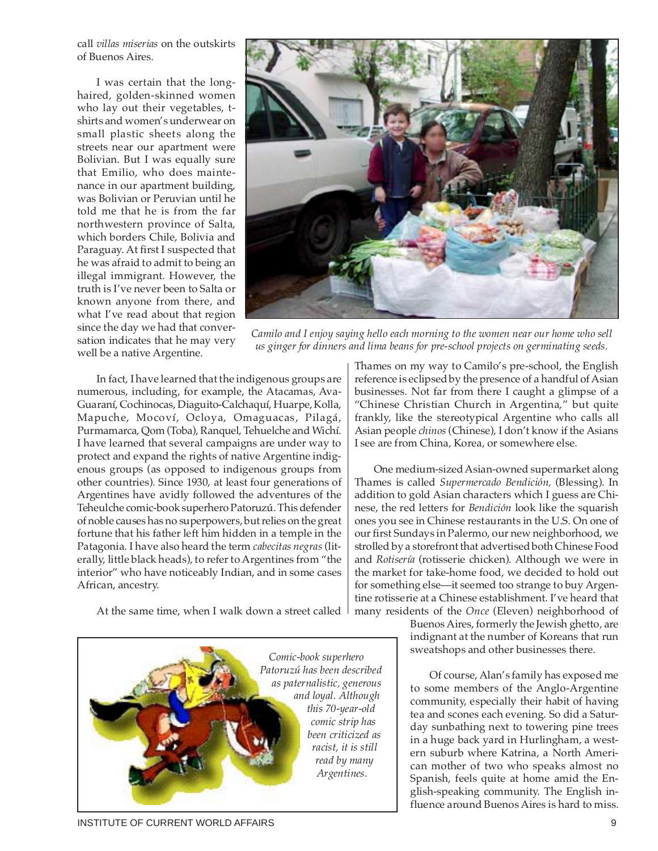call *villas miserias* on the outskirts of Buenos Aires.

I was certain that the longhaired, golden-skinned women who lay out their vegetables, tshirts and women's underwear on small plastic sheets along the streets near our apartment were Bolivian. But I was equally sure that Emilio, who does maintenance in our apartment building, was Bolivian or Peruvian until he told me that he is from the far northwestern province of Salta, which borders Chile, Bolivia and Paraguay. At first I suspected that he was afraid to admit to being an illegal immigrant. However, the truth is I've never been to Salta or known anyone from there, and what I've read about that region since the day we had that conversation indicates that he may very well be a native Argentine.



*Camilo and I enjoy saying hello each morning to the women near our home who sell us ginger for dinners and lima beans for pre-school projects on germinating seeds.*

In fact, I have learned that the indigenous groups are numerous, including, for example, the Atacamas, Ava-Guaraní, Cochinocas, Diaguito-Calchaquí, Huarpe, Kolla, Mapuche, Mocoví, Ocloya, Omaguacas, Pilagá, Purmamarca, Qom (Toba), Ranquel, Tehuelche and Wichí. I have learned that several campaigns are under way to protect and expand the rights of native Argentine indigenous groups (as opposed to indigenous groups from other countries). Since 1930, at least four generations of Argentines have avidly followed the adventures of the Teheulche comic-book superhero Patoruzú. This defender of noble causes has no superpowers, but relies on the great fortune that his father left him hidden in a temple in the Patagonia. I have also heard the term *cabecitas negras* (literally, little black heads), to refer to Argentines from "the interior" who have noticeably Indian, and in some cases African, ancestry.

At the same time, when I walk down a street called



Thames on my way to Camilo's pre-school, the English reference is eclipsed by the presence of a handful of Asian businesses. Not far from there I caught a glimpse of a "Chinese Christian Church in Argentina," but quite frankly, like the stereotypical Argentine who calls all Asian people *chinos* (Chinese), I don't know if the Asians I see are from China, Korea, or somewhere else.

One medium-sized Asian-owned supermarket along Thames is called *Supermercado Bendición,* (Blessing). In addition to gold Asian characters which I guess are Chinese, the red letters for *Bendición* look like the squarish ones you see in Chinese restaurants in the U.S. On one of our first Sundays in Palermo, our new neighborhood, we strolled by a storefront that advertised both Chinese Food and *Rotisería* (rotisserie chicken)*.* Although we were in the market for take-home food, we decided to hold out for something else—it seemed too strange to buy Argentine rotisserie at a Chinese establishment. I've heard that many residents of the *Once* (Eleven) neighborhood of

Buenos Aires, formerly the Jewish ghetto, are indignant at the number of Koreans that run sweatshops and other businesses there.

Of course, Alan's family has exposed me to some members of the Anglo-Argentine community, especially their habit of having tea and scones each evening. So did a Saturday sunbathing next to towering pine trees in a huge back yard in Hurlingham, a western suburb where Katrina, a North American mother of two who speaks almost no Spanish, feels quite at home amid the English-speaking community. The English influence around Buenos Aires is hard to miss.

INSTITUTE OF CURRENT WORLD AFFAIRS 9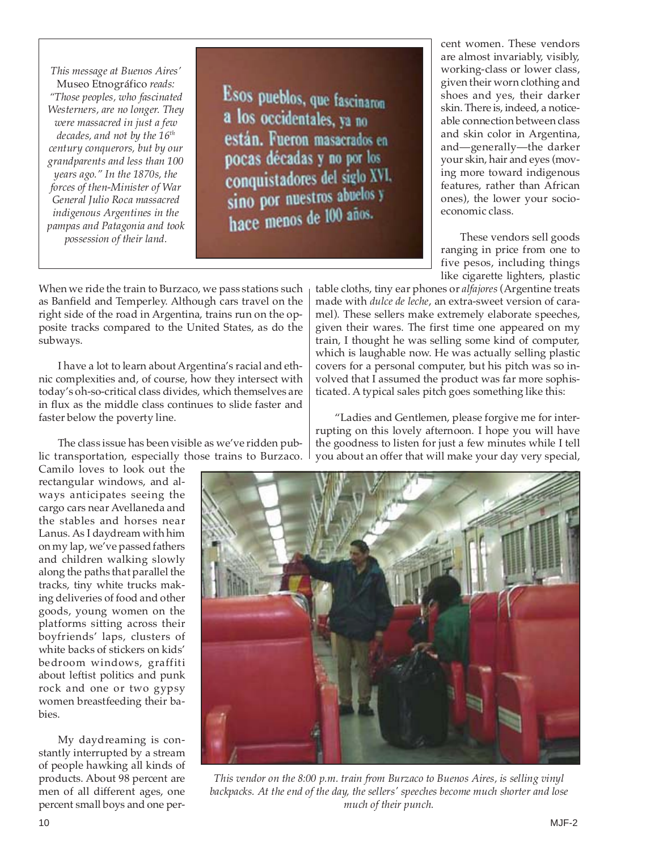*This message at Buenos Aires'* Museo Etnográfico *reads: "Those peoples, who fascinated Westerners, are no longer. They were massacred in just a few decades, and not by the 16th century conquerors, but by our grandparents and less than 100 years ago." In the 1870s, the forces of then-Minister of War General Julio Roca massacred indigenous Argentines in the pampas and Patagonia and took possession of their land.*

Esos pueblos, que fascinaron a los occidentales, va no están. Fueron masacrados en pocas décadas y no por los conquistadores del siglo XVI. sino por nuestros abuelos y hace menos de 100 años.

cent women. These vendors are almost invariably, visibly, working-class or lower class, given their worn clothing and shoes and yes, their darker skin. There is, indeed, a noticeable connection between class and skin color in Argentina, and—generally—the darker your skin, hair and eyes (moving more toward indigenous features, rather than African ones), the lower your socioeconomic class.

These vendors sell goods ranging in price from one to five pesos, including things like cigarette lighters, plastic

When we ride the train to Burzaco, we pass stations such as Banfield and Temperley. Although cars travel on the right side of the road in Argentina, trains run on the opposite tracks compared to the United States, as do the subways.

I have a lot to learn about Argentina's racial and ethnic complexities and, of course, how they intersect with today's oh-so-critical class divides, which themselves are in flux as the middle class continues to slide faster and faster below the poverty line.

The class issue has been visible as we've ridden public transportation, especially those trains to Burzaco.

Camilo loves to look out the rectangular windows, and always anticipates seeing the cargo cars near Avellaneda and the stables and horses near Lanus. As I daydream with him on my lap, we've passed fathers and children walking slowly along the paths that parallel the tracks, tiny white trucks making deliveries of food and other goods, young women on the platforms sitting across their boyfriends' laps, clusters of white backs of stickers on kids' bedroom windows, graffiti about leftist politics and punk rock and one or two gypsy women breastfeeding their babies.

My daydreaming is constantly interrupted by a stream of people hawking all kinds of products. About 98 percent are men of all different ages, one percent small boys and one pertable cloths, tiny ear phones or *alfajores* (Argentine treats made with *dulce de leche*, an extra-sweet version of caramel). These sellers make extremely elaborate speeches, given their wares. The first time one appeared on my train, I thought he was selling some kind of computer, which is laughable now. He was actually selling plastic covers for a personal computer, but his pitch was so involved that I assumed the product was far more sophisticated. A typical sales pitch goes something like this:

"Ladies and Gentlemen, please forgive me for interrupting on this lovely afternoon. I hope you will have the goodness to listen for just a few minutes while I tell you about an offer that will make your day very special,



*This vendor on the 8:00 p.m. train from Burzaco to Buenos Aires, is selling vinyl backpacks. At the end of the day, the sellers' speeches become much shorter and lose much of their punch.*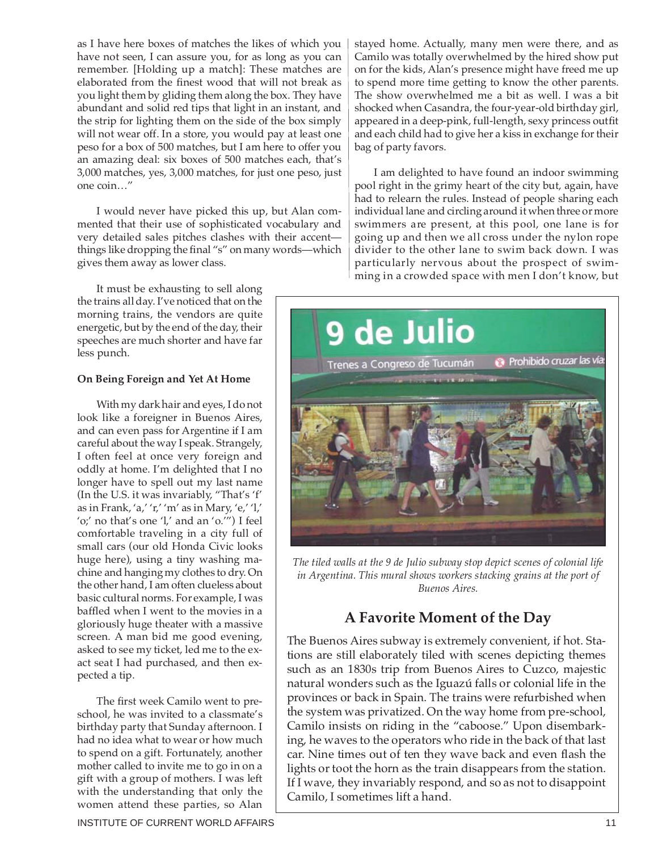as I have here boxes of matches the likes of which you have not seen, I can assure you, for as long as you can remember. [Holding up a match]: These matches are elaborated from the finest wood that will not break as you light them by gliding them along the box. They have abundant and solid red tips that light in an instant, and the strip for lighting them on the side of the box simply will not wear off. In a store, you would pay at least one peso for a box of 500 matches, but I am here to offer you an amazing deal: six boxes of 500 matches each, that's 3,000 matches, yes, 3,000 matches, for just one peso, just one coin…"

I would never have picked this up, but Alan commented that their use of sophisticated vocabulary and very detailed sales pitches clashes with their accent things like dropping the final "s" on many words—which gives them away as lower class.

It must be exhausting to sell along the trains all day. I've noticed that on the morning trains, the vendors are quite energetic, but by the end of the day, their speeches are much shorter and have far less punch.

#### **On Being Foreign and Yet At Home**

With my dark hair and eyes, I do not look like a foreigner in Buenos Aires, and can even pass for Argentine if I am careful about the way I speak. Strangely, I often feel at once very foreign and oddly at home. I'm delighted that I no longer have to spell out my last name (In the U.S. it was invariably, "That's 'f' as in Frank, 'a,' 'r,' 'm' as in Mary, 'e,' 'l,' 'o;' no that's one 'l,' and an 'o.'") I feel comfortable traveling in a city full of small cars (our old Honda Civic looks huge here), using a tiny washing machine and hanging my clothes to dry. On the other hand, I am often clueless about basic cultural norms. For example, I was baffled when I went to the movies in a gloriously huge theater with a massive screen. A man bid me good evening, asked to see my ticket, led me to the exact seat I had purchased, and then expected a tip.

The first week Camilo went to preschool, he was invited to a classmate's birthday party that Sunday afternoon. I had no idea what to wear or how much to spend on a gift. Fortunately, another mother called to invite me to go in on a gift with a group of mothers. I was left with the understanding that only the women attend these parties, so Alan

stayed home. Actually, many men were there, and as Camilo was totally overwhelmed by the hired show put on for the kids, Alan's presence might have freed me up to spend more time getting to know the other parents. The show overwhelmed me a bit as well. I was a bit shocked when Casandra, the four-year-old birthday girl, appeared in a deep-pink, full-length, sexy princess outfit and each child had to give her a kiss in exchange for their bag of party favors.

I am delighted to have found an indoor swimming pool right in the grimy heart of the city but, again, have had to relearn the rules. Instead of people sharing each individual lane and circling around it when three or more swimmers are present, at this pool, one lane is for going up and then we all cross under the nylon rope divider to the other lane to swim back down. I was particularly nervous about the prospect of swimming in a crowded space with men I don't know, but



*The tiled walls at the 9 de Julio subway stop depict scenes of colonial life in Argentina. This mural shows workers stacking grains at the port of Buenos Aires.*

## **A Favorite Moment of the Day**

The Buenos Aires subway is extremely convenient, if hot. Stations are still elaborately tiled with scenes depicting themes such as an 1830s trip from Buenos Aires to Cuzco, majestic natural wonders such as the Iguazú falls or colonial life in the provinces or back in Spain. The trains were refurbished when the system was privatized. On the way home from pre-school, Camilo insists on riding in the "caboose." Upon disembarking, he waves to the operators who ride in the back of that last car. Nine times out of ten they wave back and even flash the lights or toot the horn as the train disappears from the station. If I wave, they invariably respond, and so as not to disappoint Camilo, I sometimes lift a hand.